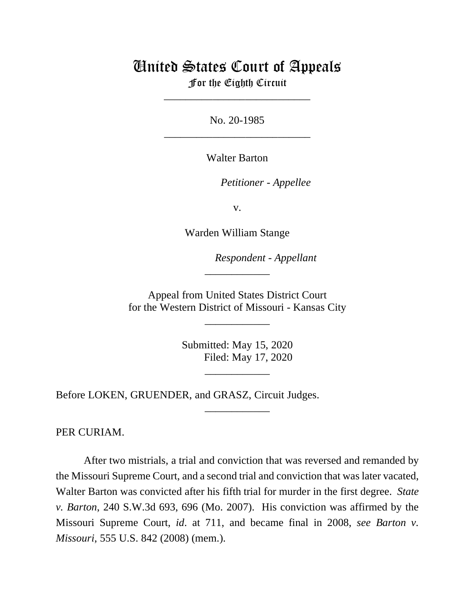## United States Court of Appeals

For the Eighth Circuit \_\_\_\_\_\_\_\_\_\_\_\_\_\_\_\_\_\_\_\_\_\_\_\_\_\_\_

No. 20-1985 \_\_\_\_\_\_\_\_\_\_\_\_\_\_\_\_\_\_\_\_\_\_\_\_\_\_\_

Walter Barton

*Petitioner - Appellee*

v.

Warden William Stange

*Respondent - Appellant*

Appeal from United States District Court for the Western District of Missouri - Kansas City

\_\_\_\_\_\_\_\_\_\_\_\_

\_\_\_\_\_\_\_\_\_\_\_\_

Submitted: May 15, 2020 Filed: May 17, 2020

\_\_\_\_\_\_\_\_\_\_\_\_

\_\_\_\_\_\_\_\_\_\_\_\_

Before LOKEN, GRUENDER, and GRASZ, Circuit Judges.

PER CURIAM.

After two mistrials, a trial and conviction that was reversed and remanded by the Missouri Supreme Court, and a second trial and conviction that was later vacated, Walter Barton was convicted after his fifth trial for murder in the first degree. *State v. Barton*, 240 S.W.3d 693, 696 (Mo. 2007). His conviction was affirmed by the Missouri Supreme Court, *id*. at 711, and became final in 2008, *see Barton v. Missouri*, 555 U.S. 842 (2008) (mem.).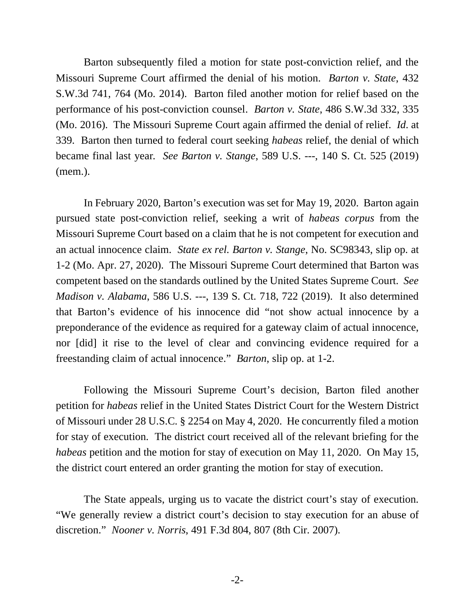Barton subsequently filed a motion for state post-conviction relief, and the Missouri Supreme Court affirmed the denial of his motion. *Barton v. State*, 432 S.W.3d 741, 764 (Mo. 2014). Barton filed another motion for relief based on the performance of his post-conviction counsel. *Barton v. State*, 486 S.W.3d 332, 335 (Mo. 2016). The Missouri Supreme Court again affirmed the denial of relief. *Id*. at 339. Barton then turned to federal court seeking *habeas* relief, the denial of which became final last year*. See Barton v. Stange*, 589 U.S. ---, 140 S. Ct. 525 (2019) (mem.).

In February 2020, Barton's execution was set for May 19, 2020. Barton again pursued state post-conviction relief, seeking a writ of *habeas corpus* from the Missouri Supreme Court based on a claim that he is not competent for execution and an actual innocence claim. *State ex rel. Barton v. Stange*, No. SC98343, slip op. at 1-2 (Mo. Apr. 27, 2020). The Missouri Supreme Court determined that Barton was competent based on the standards outlined by the United States Supreme Court. *See Madison v. Alabama*, 586 U.S. ---, 139 S. Ct. 718, 722 (2019). It also determined that Barton's evidence of his innocence did "not show actual innocence by a preponderance of the evidence as required for a gateway claim of actual innocence, nor [did] it rise to the level of clear and convincing evidence required for a freestanding claim of actual innocence." *Barton*, slip op. at 1-2.

Following the Missouri Supreme Court's decision, Barton filed another petition for *habeas* relief in the United States District Court for the Western District of Missouri under 28 U.S.C. § 2254 on May 4, 2020. He concurrently filed a motion for stay of execution. The district court received all of the relevant briefing for the *habeas* petition and the motion for stay of execution on May 11, 2020. On May 15, the district court entered an order granting the motion for stay of execution.

The State appeals, urging us to vacate the district court's stay of execution. "We generally review a district court's decision to stay execution for an abuse of discretion." *Nooner v. Norris*, 491 F.3d 804, 807 (8th Cir. 2007).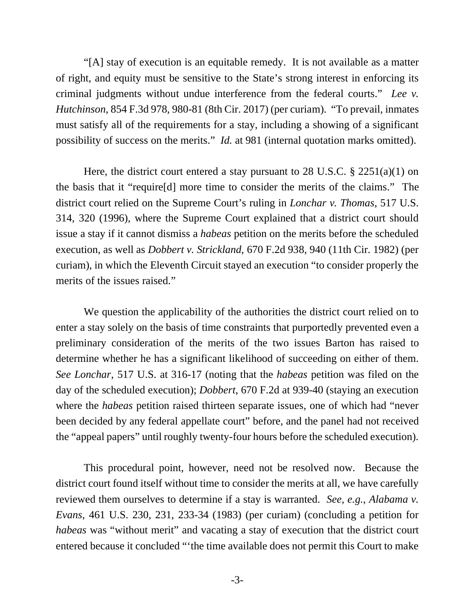"[A] stay of execution is an equitable remedy. It is not available as a matter of right, and equity must be sensitive to the State's strong interest in enforcing its criminal judgments without undue interference from the federal courts." *Lee v. Hutchinson*, 854 F.3d 978, 980-81 (8th Cir. 2017) (per curiam). "To prevail, inmates must satisfy all of the requirements for a stay, including a showing of a significant possibility of success on the merits." *Id.* at 981 (internal quotation marks omitted).

Here, the district court entered a stay pursuant to 28 U.S.C. § 2251(a)(1) on the basis that it "require[d] more time to consider the merits of the claims." The district court relied on the Supreme Court's ruling in *Lonchar v. Thomas*, 517 U.S. 314, 320 (1996), where the Supreme Court explained that a district court should issue a stay if it cannot dismiss a *habeas* petition on the merits before the scheduled execution, as well as *Dobbert v. Strickland*, 670 F.2d 938, 940 (11th Cir. 1982) (per curiam), in which the Eleventh Circuit stayed an execution "to consider properly the merits of the issues raised."

We question the applicability of the authorities the district court relied on to enter a stay solely on the basis of time constraints that purportedly prevented even a preliminary consideration of the merits of the two issues Barton has raised to determine whether he has a significant likelihood of succeeding on either of them. *See Lonchar*, 517 U.S. at 316-17 (noting that the *habeas* petition was filed on the day of the scheduled execution); *Dobbert*, 670 F.2d at 939-40 (staying an execution where the *habeas* petition raised thirteen separate issues, one of which had "never been decided by any federal appellate court" before, and the panel had not received the "appeal papers" until roughly twenty-four hours before the scheduled execution).

This procedural point, however, need not be resolved now. Because the district court found itself without time to consider the merits at all, we have carefully reviewed them ourselves to determine if a stay is warranted. *See, e.g.*, *Alabama v. Evans*, 461 U.S. 230, 231, 233-34 (1983) (per curiam) (concluding a petition for *habeas* was "without merit" and vacating a stay of execution that the district court entered because it concluded "'the time available does not permit this Court to make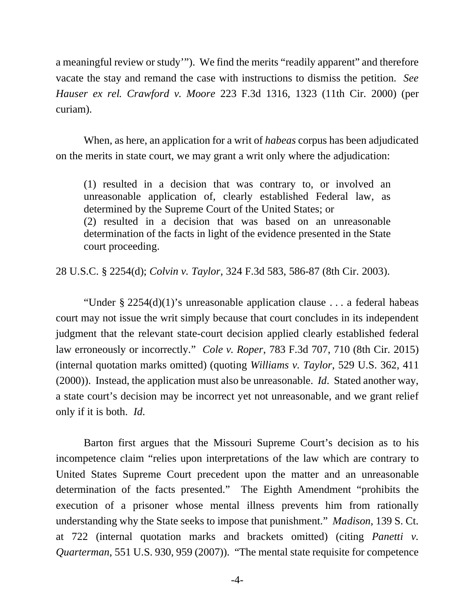a meaningful review or study'"). We find the merits "readily apparent" and therefore vacate the stay and remand the case with instructions to dismiss the petition. *See Hauser ex rel. Crawford v. Moore* 223 F.3d 1316, 1323 (11th Cir. 2000) (per curiam).

When, as here, an application for a writ of *habeas* corpus has been adjudicated on the merits in state court, we may grant a writ only where the adjudication:

(1) resulted in a decision that was contrary to, or involved an unreasonable application of, clearly established Federal law, as determined by the Supreme Court of the United States; or (2) resulted in a decision that was based on an unreasonable determination of the facts in light of the evidence presented in the State court proceeding.

28 U.S.C. § 2254(d); *Colvin v. Taylor*, 324 F.3d 583, 586-87 (8th Cir. 2003).

"Under § 2254(d)(1)'s unreasonable application clause . . . a federal habeas court may not issue the writ simply because that court concludes in its independent judgment that the relevant state-court decision applied clearly established federal law erroneously or incorrectly." *Cole v. Roper*, 783 F.3d 707, 710 (8th Cir. 2015) (internal quotation marks omitted) (quoting *Williams v. Taylor*, 529 U.S. 362, 411 (2000)). Instead, the application must also be unreasonable. *Id*. Stated another way, a state court's decision may be incorrect yet not unreasonable, and we grant relief only if it is both. *Id*.

Barton first argues that the Missouri Supreme Court's decision as to his incompetence claim "relies upon interpretations of the law which are contrary to United States Supreme Court precedent upon the matter and an unreasonable determination of the facts presented." The Eighth Amendment "prohibits the execution of a prisoner whose mental illness prevents him from rationally understanding why the State seeks to impose that punishment." *Madison*, 139 S. Ct. at 722 (internal quotation marks and brackets omitted) (citing *Panetti v. Quarterman*, 551 U.S. 930, 959 (2007)). "The mental state requisite for competence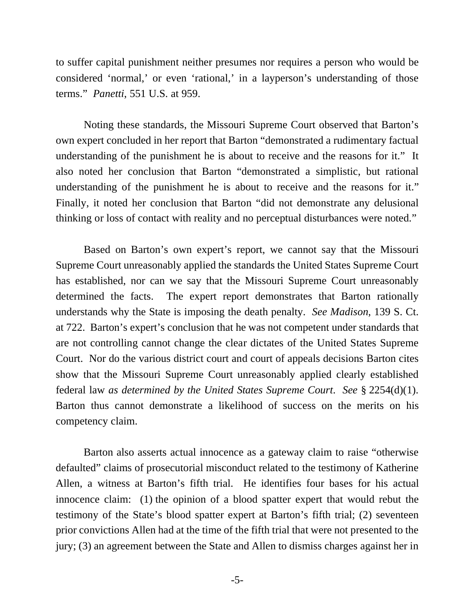to suffer capital punishment neither presumes nor requires a person who would be considered 'normal,' or even 'rational,' in a layperson's understanding of those terms." *Panetti*, 551 U.S. at 959.

Noting these standards, the Missouri Supreme Court observed that Barton's own expert concluded in her report that Barton "demonstrated a rudimentary factual understanding of the punishment he is about to receive and the reasons for it." It also noted her conclusion that Barton "demonstrated a simplistic, but rational understanding of the punishment he is about to receive and the reasons for it." Finally, it noted her conclusion that Barton "did not demonstrate any delusional thinking or loss of contact with reality and no perceptual disturbances were noted."

Based on Barton's own expert's report, we cannot say that the Missouri Supreme Court unreasonably applied the standards the United States Supreme Court has established, nor can we say that the Missouri Supreme Court unreasonably determined the facts. The expert report demonstrates that Barton rationally understands why the State is imposing the death penalty. *See Madison*, 139 S. Ct. at 722. Barton's expert's conclusion that he was not competent under standards that are not controlling cannot change the clear dictates of the United States Supreme Court. Nor do the various district court and court of appeals decisions Barton cites show that the Missouri Supreme Court unreasonably applied clearly established federal law *as determined by the United States Supreme Court*. *See* § 2254(d)(1). Barton thus cannot demonstrate a likelihood of success on the merits on his competency claim.

Barton also asserts actual innocence as a gateway claim to raise "otherwise defaulted" claims of prosecutorial misconduct related to the testimony of Katherine Allen, a witness at Barton's fifth trial. He identifies four bases for his actual innocence claim: (1) the opinion of a blood spatter expert that would rebut the testimony of the State's blood spatter expert at Barton's fifth trial; (2) seventeen prior convictions Allen had at the time of the fifth trial that were not presented to the jury; (3) an agreement between the State and Allen to dismiss charges against her in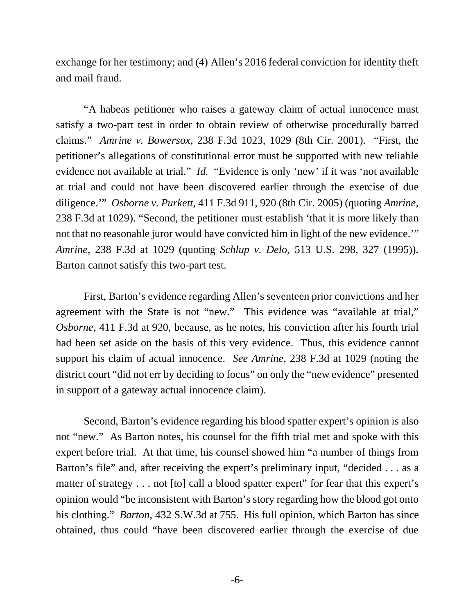exchange for her testimony; and (4) Allen's 2016 federal conviction for identity theft and mail fraud.

"A habeas petitioner who raises a gateway claim of actual innocence must satisfy a two-part test in order to obtain review of otherwise procedurally barred claims." *Amrine v. Bowersox*, 238 F.3d 1023, 1029 (8th Cir. 2001). "First, the petitioner's allegations of constitutional error must be supported with new reliable evidence not available at trial." *Id.* "Evidence is only 'new' if it was 'not available at trial and could not have been discovered earlier through the exercise of due diligence.'" *Osborne v. Purkett*, 411 F.3d 911, 920 (8th Cir. 2005) (quoting *Amrine*, 238 F.3d at 1029). "Second, the petitioner must establish 'that it is more likely than not that no reasonable juror would have convicted him in light of the new evidence.'" *Amrine*, 238 F.3d at 1029 (quoting *Schlup v. Delo*, 513 U.S. 298, 327 (1995)). Barton cannot satisfy this two-part test.

First, Barton's evidence regarding Allen's seventeen prior convictions and her agreement with the State is not "new." This evidence was "available at trial," *Osborne*, 411 F.3d at 920, because, as he notes, his conviction after his fourth trial had been set aside on the basis of this very evidence. Thus, this evidence cannot support his claim of actual innocence. *See Amrine*, 238 F.3d at 1029 (noting the district court "did not err by deciding to focus" on only the "new evidence" presented in support of a gateway actual innocence claim).

Second, Barton's evidence regarding his blood spatter expert's opinion is also not "new." As Barton notes, his counsel for the fifth trial met and spoke with this expert before trial. At that time, his counsel showed him "a number of things from Barton's file" and, after receiving the expert's preliminary input, "decided . . . as a matter of strategy . . . not [to] call a blood spatter expert" for fear that this expert's opinion would "be inconsistent with Barton's story regarding how the blood got onto his clothing." *Barton*, 432 S.W.3d at 755. His full opinion, which Barton has since obtained, thus could "have been discovered earlier through the exercise of due